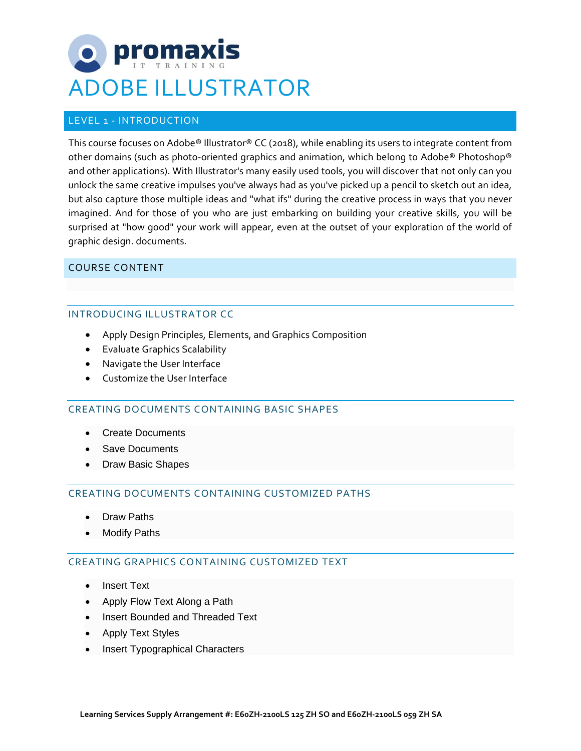# promax ADOBE ILLUSTRATOR

# LEVEL 1 - INTRODUCTION

This course focuses on Adobe® Illustrator® CC (2018), while enabling its users to integrate content from other domains (such as photo-oriented graphics and animation, which belong to Adobe® Photoshop® and other applications). With Illustrator's many easily used tools, you will discover that not only can you unlock the same creative impulses you've always had as you've picked up a pencil to sketch out an idea, but also capture those multiple ideas and "what ifs" during the creative process in ways that you never imagined. And for those of you who are just embarking on building your creative skills, you will be surprised at "how good" your work will appear, even at the outset of your exploration of the world of graphic design. documents.

# COURSE CONTENT

## INTRODUCING ILLUSTRATOR CC

- Apply Design Principles, Elements, and Graphics Composition
- Evaluate Graphics Scalability
- Navigate the User Interface
- Customize the User Interface

# CREATING DOCUMENTS CONTAINING BASIC SHAPES

- Create Documents
- Save Documents
- Draw Basic Shapes

# CREATING DOCUMENTS CONTAINING CUSTOMIZED PATHS

- Draw Paths
- **Modify Paths**

## CREATING GRAPHICS CONTAINING CUSTOMIZED TEXT

- **Insert Text**
- Apply Flow Text Along a Path
- Insert Bounded and Threaded Text
- Apply Text Styles
- Insert Typographical Characters